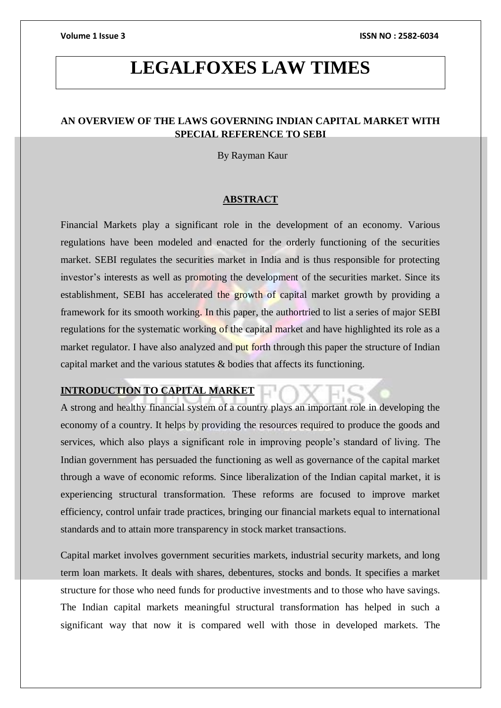# **LEGALFOXES LAW TIMES**

### **AN OVERVIEW OF THE LAWS GOVERNING INDIAN CAPITAL MARKET WITH SPECIAL REFERENCE TO SEBI**

By Rayman Kaur

### **ABSTRACT**

Financial Markets play a significant role in the development of an economy. Various regulations have been modeled and enacted for the orderly functioning of the securities market. SEBI regulates the securities market in India and is thus responsible for protecting investor's interests as well as promoting the development of the securities market. Since its establishment, SEBI has accelerated the growth of capital market growth by providing a framework for its smooth working. In this paper, the authortried to list a series of major SEBI regulations for the systematic working of the capital market and have highlighted its role as a market regulator. I have also analyzed and put forth through this paper the structure of Indian capital market and the various statutes & bodies that affects its functioning.

### **INTRODUCTION TO CAPITAL MARKET**

A strong and healthy financial system of a country plays an important role in developing the economy of a country. It helps by providing the resources required to produce the goods and services, which also plays a significant role in improving people's standard of living. The Indian government has persuaded the functioning as well as governance of the capital market through a wave of economic reforms. Since liberalization of the Indian capital market, it is experiencing structural transformation. These reforms are focused to improve market efficiency, control unfair trade practices, bringing our financial markets equal to international standards and to attain more transparency in stock market transactions.

Capital market involves government securities markets, industrial security markets, and long term loan markets. It deals with shares, debentures, stocks and bonds. It specifies a market structure for those who need funds for productive investments and to those who have savings. The Indian capital markets meaningful structural transformation has helped in such a significant way that now it is compared well with those in developed markets. The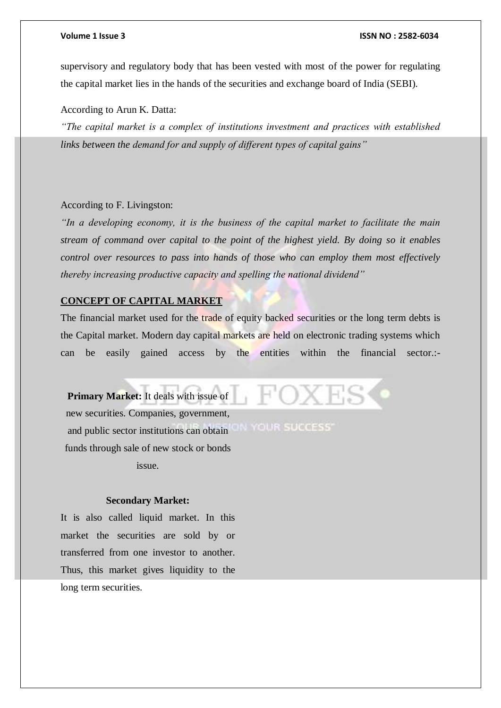supervisory and regulatory body that has been vested with most of the power for regulating the capital market lies in the hands of the securities and exchange board of India (SEBI).

According to Arun K. Datta:

*"The capital market is a complex of institutions investment and practices with established links between the demand for and supply of different types of capital gains"*

#### According to F. Livingston:

*"In a developing economy, it is the business of the capital market to facilitate the main stream of command over capital to the point of the highest yield. By doing so it enables control over resources to pass into hands of those who can employ them most effectively thereby increasing productive capacity and spelling the national dividend"*

#### **CONCEPT OF CAPITAL MARKET**

The financial market used for the trade of equity backed securities or the long term debts is the Capital market. Modern day capital markets are held on electronic trading systems which can be easily gained access by the entities within the financial sector.:-

**Primary Market:** It deals with issue of new securities. Companies, government, IN YOUR SUCCESS' and public sector institutions can obtain funds through sale of new stock or bonds issue.

#### **Secondary Market:**

It is also called liquid market. In this market the securities are sold by or transferred from one investor to another. Thus, this market gives liquidity to the long term securities.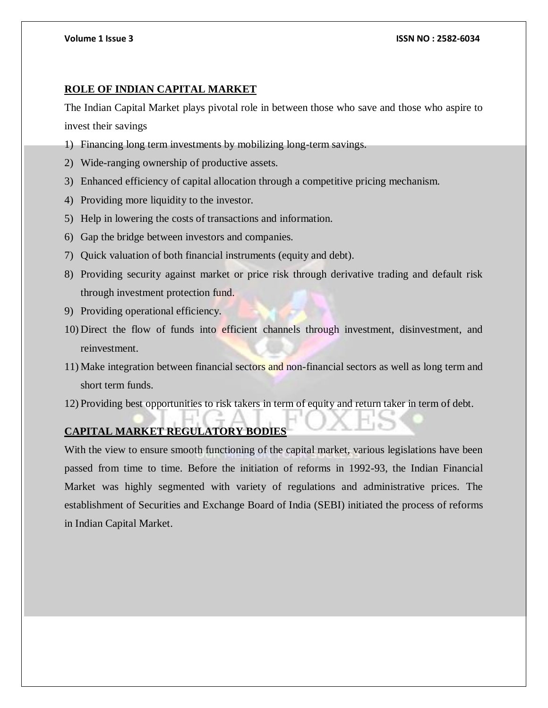### **ROLE OF INDIAN CAPITAL MARKET**

The Indian Capital Market plays pivotal role in between those who save and those who aspire to invest their savings

- 1) Financing long term investments by mobilizing long-term savings.
- 2) Wide-ranging ownership of productive assets.
- 3) Enhanced efficiency of capital allocation through a competitive pricing mechanism.
- 4) Providing more liquidity to the investor.
- 5) Help in lowering the costs of transactions and information.
- 6) Gap the bridge between investors and companies.
- 7) Quick valuation of both financial instruments (equity and debt).
- 8) Providing security against market or price risk through derivative trading and default risk through investment protection fund.
- 9) Providing operational efficiency.
- 10) Direct the flow of funds into efficient channels through investment, disinvestment, and reinvestment.
- 11) Make integration between financial sectors and non-financial sectors as well as long term and short term funds.
- 12) Providing best opportunities to risk takers in term of equity and return taker in term of debt.

### **CAPITAL MARKET REGULATORY BODIES**

With the view to ensure smooth functioning of the capital market, various legislations have been passed from time to time. Before the initiation of reforms in 1992-93, the Indian Financial Market was highly segmented with variety of regulations and administrative prices. The establishment of Securities and Exchange Board of India (SEBI) initiated the process of reforms in Indian Capital Market.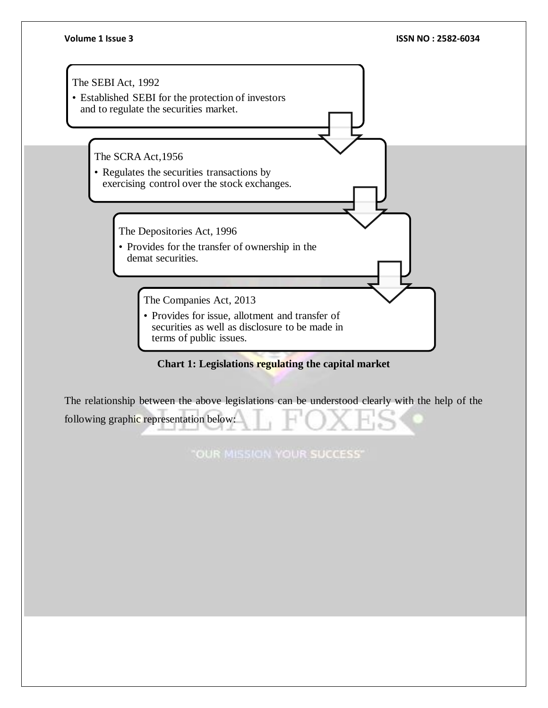

### **Chart 1: Legislations regulating the capital market**

The relationship between the above legislations can be understood clearly with the help of the following graphic representation below:

"OUR MISSION YOUR SUCCESS"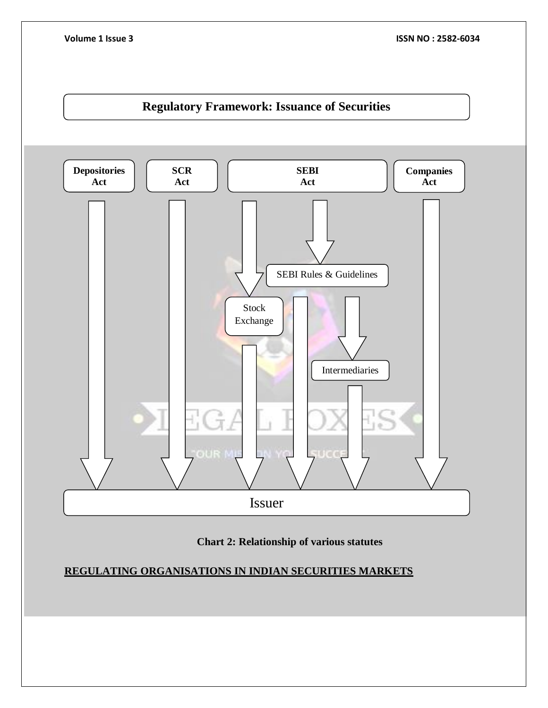



**REGULATING ORGANISATIONS IN INDIAN SECURITIES MARKETS**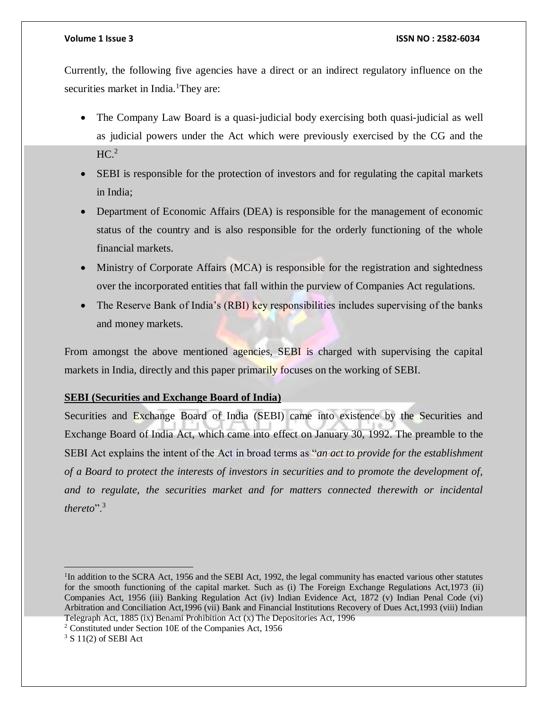Currently, the following five agencies have a direct or an indirect regulatory influence on the securities market in India.<sup>1</sup>They are:

- The Company Law Board is a quasi-judicial body exercising both quasi-judicial as well as judicial powers under the Act which were previously exercised by the CG and the  $HC.<sup>2</sup>$
- SEBI is responsible for the protection of investors and for regulating the capital markets in India;
- Department of Economic Affairs (DEA) is responsible for the management of economic status of the country and is also responsible for the orderly functioning of the whole financial markets.
- Ministry of Corporate Affairs (MCA) is responsible for the registration and sightedness over the incorporated entities that fall within the purview of Companies Act regulations.
- The Reserve Bank of India's (RBI) key responsibilities includes supervising of the banks and money markets.

From amongst the above mentioned agencies, SEBI is charged with supervising the capital markets in India, directly and this paper primarily focuses on the working of SEBI.

### **SEBI (Securities and Exchange Board of India)**

Securities and Exchange Board of India (SEBI) came into existence by the Securities and Exchange Board of India Act, which came into effect on January 30, 1992. The preamble to the SEBI Act explains the intent of the Act in broad terms as "*an act to provide for the establishment of a Board to protect the interests of investors in securities and to promote the development of, and to regulate, the securities market and for matters connected therewith or incidental thereto*".<sup>3</sup>

 $\overline{a}$ <sup>1</sup>In addition to the SCRA Act, 1956 and the SEBI Act, 1992, the legal community has enacted various other statutes for the smooth functioning of the capital market. Such as (i) The Foreign Exchange Regulations Act,1973 (ii) Companies Act, 1956 (iii) Banking Regulation Act (iv) Indian Evidence Act, 1872 (v) Indian Penal Code (vi) Arbitration and Conciliation Act,1996 (vii) Bank and Financial Institutions Recovery of Dues Act,1993 (viii) Indian Telegraph Act, 1885 (ix) Benami Prohibition Act (x) The Depositories Act, 1996

<sup>2</sup> Constituted under Section 10E of the Companies Act, 1956

 $3 S 11(2)$  of SEBI Act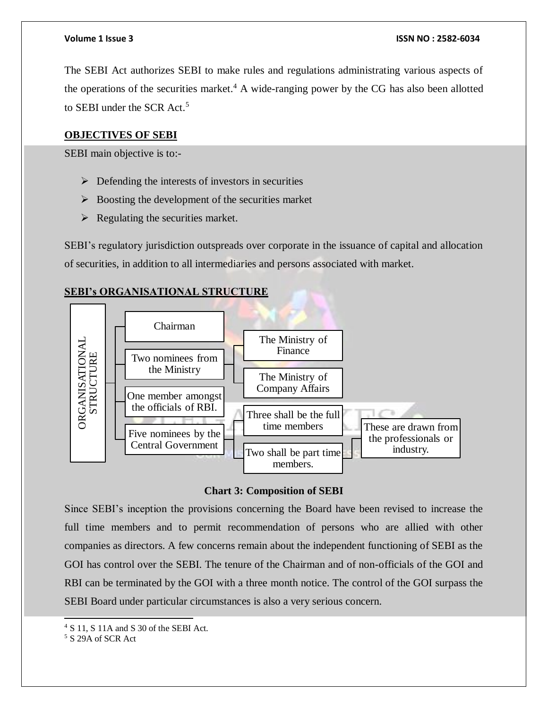The SEBI Act authorizes SEBI to make rules and regulations administrating various aspects of the operations of the securities market.<sup>4</sup> A wide-ranging power by the CG has also been allotted to SEBI under the SCR Act.<sup>5</sup>

### **OBJECTIVES OF SEBI**

SEBI main objective is to:-

- $\triangleright$  Defending the interests of investors in securities
- $\triangleright$  Boosting the development of the securities market
- $\triangleright$  Regulating the securities market.

SEBI's regulatory jurisdiction outspreads over corporate in the issuance of capital and allocation of securities, in addition to all intermediaries and persons associated with market.

### **SEBI's ORGANISATIONAL STRUCTURE**



### **Chart 3: Composition of SEBI**

Since SEBI's inception the provisions concerning the Board have been revised to increase the full time members and to permit recommendation of persons who are allied with other companies as directors. A few concerns remain about the independent functioning of SEBI as the GOI has control over the SEBI. The tenure of the Chairman and of non-officials of the GOI and RBI can be terminated by the GOI with a three month notice. The control of the GOI surpass the SEBI Board under particular circumstances is also a very serious concern.

l

<sup>4</sup> S 11, S 11A and S 30 of the SEBI Act.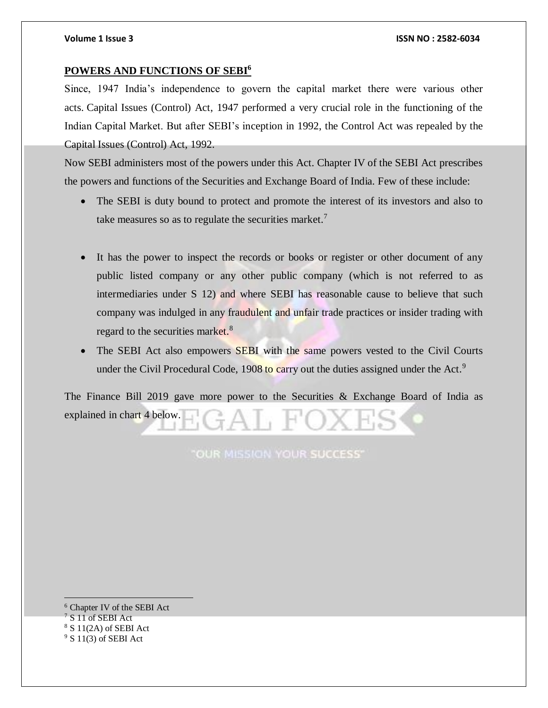#### **POWERS AND FUNCTIONS OF SEBI<sup>6</sup>**

Since, 1947 India's independence to govern the capital market there were various other acts. Capital Issues (Control) Act, 1947 performed a very crucial role in the functioning of the Indian Capital Market. But after SEBI's inception in 1992, the Control Act was repealed by the Capital Issues (Control) Act, 1992.

Now SEBI administers most of the powers under this Act. Chapter IV of the SEBI Act prescribes the powers and functions of the Securities and Exchange Board of India. Few of these include:

- The SEBI is duty bound to protect and promote the interest of its investors and also to take measures so as to regulate the securities market.<sup>7</sup>
- It has the power to inspect the records or books or register or other document of any public listed company or any other public company (which is not referred to as intermediaries under S 12) and where SEBI has reasonable cause to believe that such company was indulged in any fraudulent and unfair trade practices or insider trading with regard to the securities market.<sup>8</sup>
- The SEBI Act also empowers SEBI with the same powers vested to the Civil Courts under the Civil Procedural Code, 1908 to carry out the duties assigned under the Act.<sup>9</sup>

The Finance Bill 2019 gave more power to the Securities & Exchange Board of India as explained in chart 4 below.

OUR MISSION YOUR SUCCESS'

 <sup>6</sup> Chapter IV of the SEBI Act <sup>7</sup> S 11 of SEBI Act  $8 S 11(2A)$  of SEBI Act  $9$  S 11(3) of SEBI Act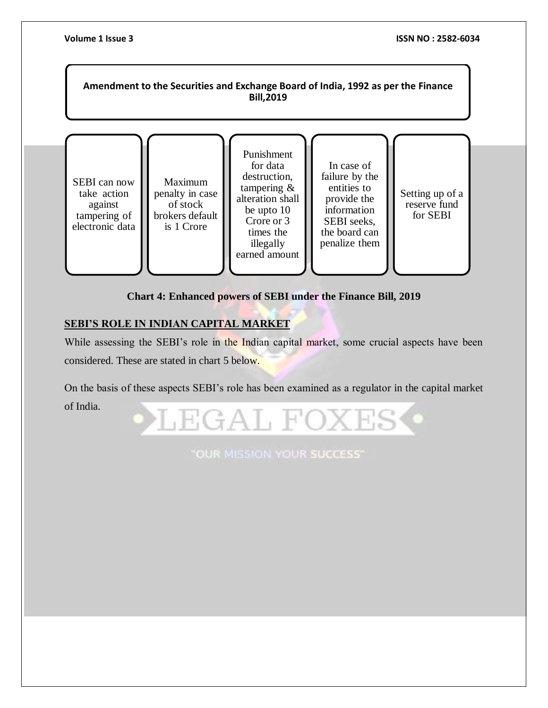

### **Chart 4: Enhanced powers of SEBI under the Finance Bill, 2019**

### **SEBI'S ROLE IN INDIAN CAPITAL MARKET**

While assessing the SEBI's role in the Indian capital market, some crucial aspects have been considered. These are stated in chart 5 below.

On the basis of these aspects SEBI's role has been examined as a regulator in the capital market of India.



"OUR MISSION YOUR SUCCESS"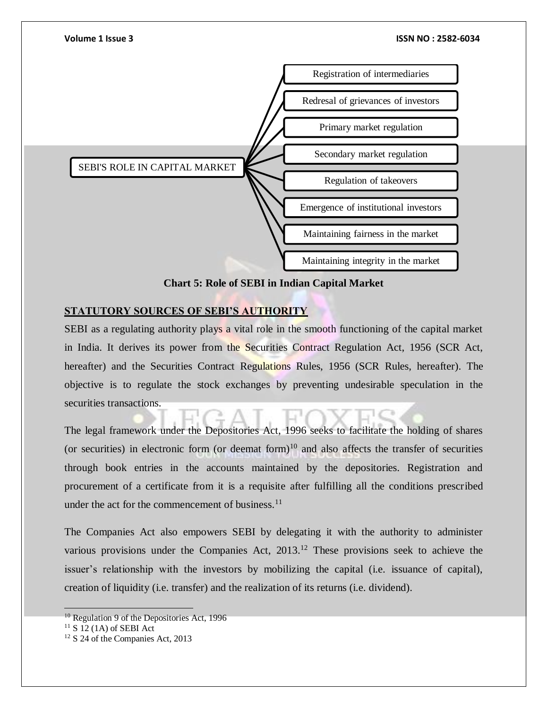

**Chart 5: Role of SEBI in Indian Capital Market**

### **STATUTORY SOURCES OF SEBI'S AUTHORITY**

SEBI as a regulating authority plays a vital role in the smooth functioning of the capital market in India. It derives its power from the Securities Contract Regulation Act, 1956 (SCR Act, hereafter) and the Securities Contract Regulations Rules, 1956 (SCR Rules, hereafter). The objective is to regulate the stock exchanges by preventing undesirable speculation in the securities transactions.

The legal framework under the Depositories Act, 1996 seeks to facilitate the holding of shares (or securities) in electronic form (or deemat form)<sup>10</sup> and also affects the transfer of securities through book entries in the accounts maintained by the depositories. Registration and procurement of a certificate from it is a requisite after fulfilling all the conditions prescribed under the act for the commencement of business.<sup>11</sup>

The Companies Act also empowers SEBI by delegating it with the authority to administer various provisions under the Companies Act, 2013.<sup>12</sup> These provisions seek to achieve the issuer's relationship with the investors by mobilizing the capital (i.e. issuance of capital), creation of liquidity (i.e. transfer) and the realization of its returns (i.e. dividend).

 $10$  Regulation 9 of the Depositories Act, 1996

 $11$  S 12 (1A) of SEBI Act

<sup>&</sup>lt;sup>12</sup> S 24 of the Companies Act, 2013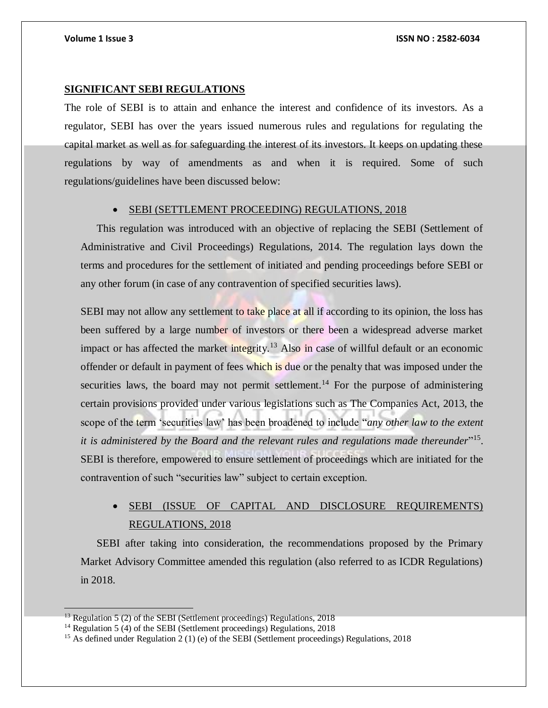#### **SIGNIFICANT SEBI REGULATIONS**

The role of SEBI is to attain and enhance the interest and confidence of its investors. As a regulator, SEBI has over the years issued numerous rules and regulations for regulating the capital market as well as for safeguarding the interest of its investors. It keeps on updating these regulations by way of amendments as and when it is required. Some of such regulations/guidelines have been discussed below:

#### **• SEBI (SETTLEMENT PROCEEDING) REGULATIONS, 2018**

This regulation was introduced with an objective of replacing the SEBI (Settlement of Administrative and Civil Proceedings) Regulations, 2014. The regulation lays down the terms and procedures for the settlement of initiated and pending proceedings before SEBI or any other forum (in case of any contravention of specified securities laws).

SEBI may not allow any settlement to take place at all if according to its opinion, the loss has been suffered by a large number of investors or there been a widespread adverse market impact or has affected the market integrity.<sup>13</sup> Also in case of willful default or an economic offender or default in payment of fees which is due or the penalty that was imposed under the securities laws, the board may not permit settlement.<sup>14</sup> For the purpose of administering certain provisions provided under various legislations such as The Companies Act, 2013, the scope of the term 'securities law' has been broadened to include "*any other law to the extent*  it is administered by the Board and the relevant rules and regulations made thereunder"<sup>15</sup>. SEBI is therefore, empowered to ensure settlement of proceedings which are initiated for the contravention of such "securities law" subject to certain exception.

## SEBI (ISSUE OF CAPITAL AND DISCLOSURE REQUIREMENTS) REGULATIONS, 2018

SEBI after taking into consideration, the recommendations proposed by the Primary Market Advisory Committee amended this regulation (also referred to as ICDR Regulations) in 2018.

 $13$  Regulation 5 (2) of the SEBI (Settlement proceedings) Regulations, 2018

<sup>&</sup>lt;sup>14</sup> Regulation 5 (4) of the SEBI (Settlement proceedings) Regulations, 2018

<sup>&</sup>lt;sup>15</sup> As defined under Regulation 2 (1) (e) of the SEBI (Settlement proceedings) Regulations, 2018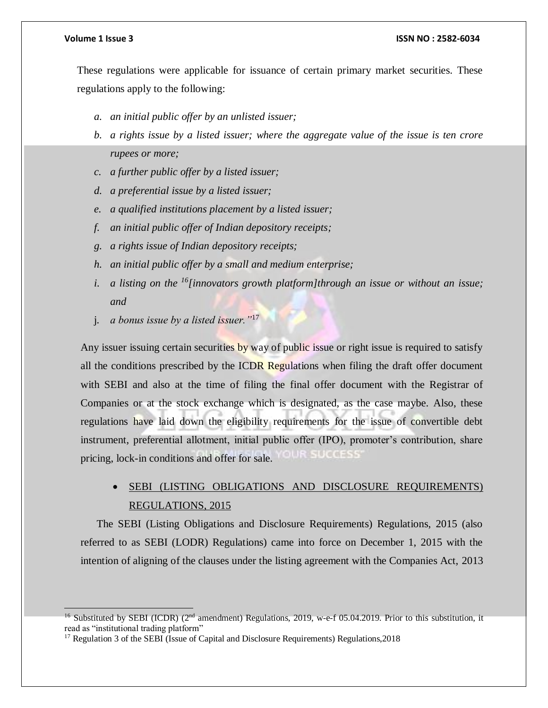#### **Volume 1 Issue 3 ISSN NO : 2582-6034**

These regulations were applicable for issuance of certain primary market securities. These regulations apply to the following:

- *a. an initial public offer by an unlisted issuer;*
- *b. a rights issue by a listed issuer; where the aggregate value of the issue is ten crore rupees or more;*
- *c. a further public offer by a listed issuer;*
- *d. a preferential issue by a listed issuer;*
- *e. a qualified institutions placement by a listed issuer;*
- *f. an initial public offer of Indian depository receipts;*
- *g. a rights issue of Indian depository receipts;*
- *h. an initial public offer by a small and medium enterprise;*
- *i. a listing on the <sup>16</sup>[innovators growth platform]through an issue or without an issue; and*
- j. *a bonus issue by a listed issuer."*<sup>17</sup>

Any issuer issuing certain securities by way of public issue or right issue is required to satisfy all the conditions prescribed by the ICDR Regulations when filing the draft offer document with SEBI and also at the time of filing the final offer document with the Registrar of Companies or at the stock exchange which is designated, as the case maybe. Also, these regulations have laid down the eligibility requirements for the issue of convertible debt instrument, preferential allotment, initial public offer (IPO), promoter's contribution, share SUCCESS pricing, lock-in conditions and offer for sale.

 SEBI (LISTING OBLIGATIONS AND DISCLOSURE REQUIREMENTS) REGULATIONS, 2015

The SEBI (Listing Obligations and Disclosure Requirements) Regulations, 2015 (also referred to as SEBI (LODR) Regulations) came into force on December 1, 2015 with the intention of aligning of the clauses under the listing agreement with the Companies Act, 2013

<sup>&</sup>lt;sup>16</sup> Substituted by SEBI (ICDR) ( $2<sup>nd</sup>$  amendment) Regulations, 2019, w-e-f 05.04.2019. Prior to this substitution, it read as "institutional trading platform"

<sup>&</sup>lt;sup>17</sup> Regulation 3 of the SEBI (Issue of Capital and Disclosure Requirements) Regulations, 2018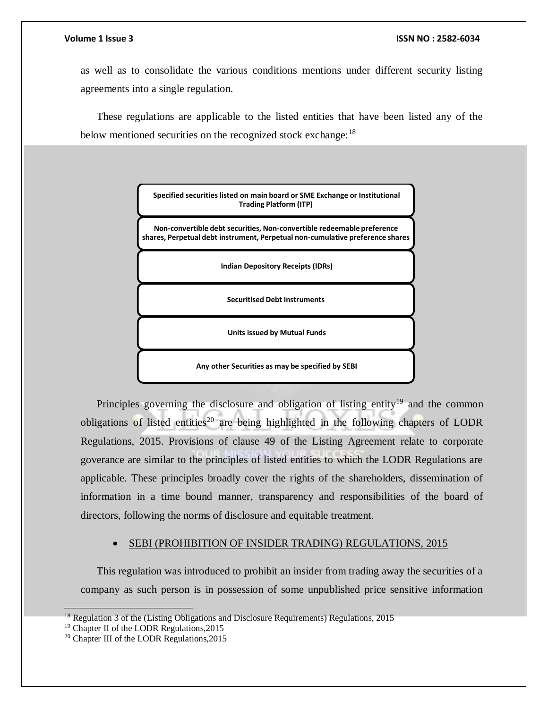as well as to consolidate the various conditions mentions under different security listing agreements into a single regulation.

These regulations are applicable to the listed entities that have been listed any of the below mentioned securities on the recognized stock exchange:<sup>18</sup>

> **Specified securities listed on main board or SME Exchange or Institutional Trading Platform (ITP)**

**Non-convertible debt securities, Non-convertible redeemable preference shares, Perpetual debt instrument, Perpetual non-cumulative preference shares** 

**Indian Depository Receipts (IDRs)** 

**Securitised Debt Instruments**

**Units issued by Mutual Funds**

**Any other Securities as may be specified by SEBI**

Principles governing the disclosure and obligation of listing entity<sup>19</sup> and the common obligations of listed entities<sup>20</sup> are being highlighted in the following chapters of LODR Regulations, 2015. Provisions of clause 49 of the Listing Agreement relate to corporate goverance are similar to the principles of listed entities to which the LODR Regulations are applicable. These principles broadly cover the rights of the shareholders, dissemination of information in a time bound manner, transparency and responsibilities of the board of directors, following the norms of disclosure and equitable treatment.

#### SEBI (PROHIBITION OF INSIDER TRADING) REGULATIONS, 2015

This regulation was introduced to prohibit an insider from trading away the securities of a company as such person is in possession of some unpublished price sensitive information

 <sup>18</sup> Regulation 3 of the (Listing Obligations and Disclosure Requirements) Regulations, 2015

<sup>19</sup> Chapter II of the LODR Regulations,2015

<sup>20</sup> Chapter III of the LODR Regulations,2015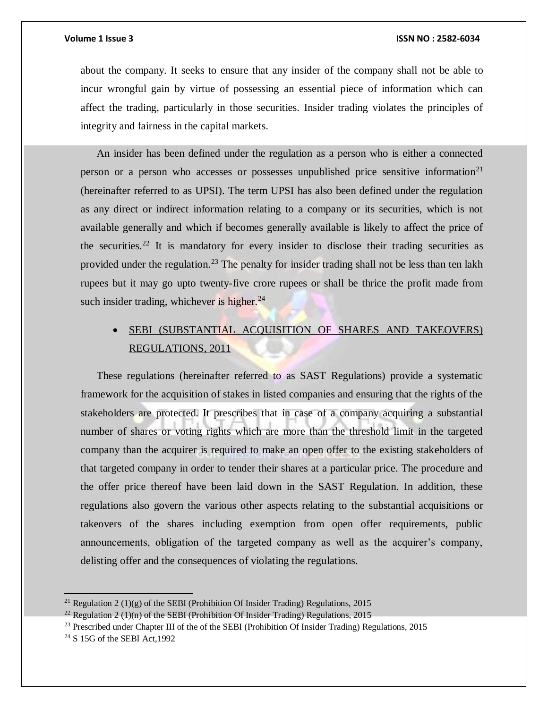about the company. It seeks to ensure that any insider of the company shall not be able to incur wrongful gain by virtue of possessing an essential piece of information which can affect the trading, particularly in those securities. Insider trading violates the principles of integrity and fairness in the capital markets.

An insider has been defined under the regulation as a person who is either a connected person or a person who accesses or possesses unpublished price sensitive information<sup>21</sup> (hereinafter referred to as UPSI). The term UPSI has also been defined under the regulation as any direct or indirect information relating to a company or its securities, which is not available generally and which if becomes generally available is likely to affect the price of the securities.<sup>22</sup> It is mandatory for every insider to disclose their trading securities as provided under the regulation.<sup>23</sup> The penalty for insider trading shall not be less than ten lakh rupees but it may go upto twenty-five crore rupees or shall be thrice the profit made from such insider trading, whichever is higher. $^{24}$ 

## SEBI (SUBSTANTIAL ACQUISITION OF SHARES AND TAKEOVERS) REGULATIONS, 2011

These regulations (hereinafter referred to as SAST Regulations) provide a systematic framework for the acquisition of stakes in listed companies and ensuring that the rights of the stakeholders are protected. It prescribes that in case of a company acquiring a substantial number of shares or voting rights which are more than the threshold limit in the targeted company than the acquirer is required to make an open offer to the existing stakeholders of that targeted company in order to tender their shares at a particular price. The procedure and the offer price thereof have been laid down in the SAST Regulation. In addition, these regulations also govern the various other aspects relating to the substantial acquisitions or takeovers of the shares including exemption from open offer requirements, public announcements, obligation of the targeted company as well as the acquirer's company, delisting offer and the consequences of violating the regulations.

 $\overline{a}$ 

<sup>&</sup>lt;sup>21</sup> Regulation 2 (1)(g) of the SEBI (Prohibition Of Insider Trading) Regulations, 2015

<sup>&</sup>lt;sup>22</sup> Regulation 2 (1)(n) of the SEBI (Prohibition Of Insider Trading) Regulations, 2015

<sup>&</sup>lt;sup>23</sup> Prescribed under Chapter III of the of the SEBI (Prohibition Of Insider Trading) Regulations, 2015

<sup>24</sup> S 15G of the SEBI Act,1992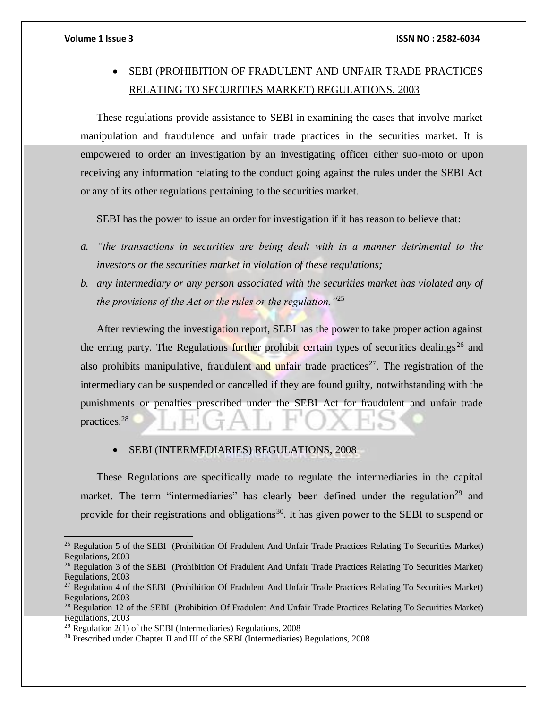$\overline{a}$ 

## SEBI (PROHIBITION OF FRADULENT AND UNFAIR TRADE PRACTICES RELATING TO SECURITIES MARKET) REGULATIONS, 2003

These regulations provide assistance to SEBI in examining the cases that involve market manipulation and fraudulence and unfair trade practices in the securities market. It is empowered to order an investigation by an investigating officer either suo-moto or upon receiving any information relating to the conduct going against the rules under the SEBI Act or any of its other regulations pertaining to the securities market.

SEBI has the power to issue an order for investigation if it has reason to believe that:

- *a. "the transactions in securities are being dealt with in a manner detrimental to the investors or the securities market in violation of these regulations;*
- *b. any intermediary or any person associated with the securities market has violated any of the provisions of the Act or the rules or the regulation."*<sup>25</sup>

After reviewing the investigation report, SEBI has the power to take proper action against the erring party. The Regulations further prohibit certain types of securities dealings<sup>26</sup> and also prohibits manipulative, fraudulent and unfair trade practices<sup>27</sup>. The registration of the intermediary can be suspended or cancelled if they are found guilty, notwithstanding with the punishments or penalties prescribed under the SEBI Act for fraudulent and unfair trade practices.<sup>28</sup>

#### SEBI (INTERMEDIARIES) REGULATIONS, 2008

These Regulations are specifically made to regulate the intermediaries in the capital market. The term "intermediaries" has clearly been defined under the regulation<sup>29</sup> and provide for their registrations and obligations<sup>30</sup>. It has given power to the SEBI to suspend or

<sup>&</sup>lt;sup>25</sup> Regulation 5 of the SEBI (Prohibition Of Fradulent And Unfair Trade Practices Relating To Securities Market) Regulations, 2003

<sup>&</sup>lt;sup>26</sup> Regulation 3 of the SEBI (Prohibition Of Fradulent And Unfair Trade Practices Relating To Securities Market) Regulations, 2003

<sup>&</sup>lt;sup>27</sup> Regulation 4 of the SEBI (Prohibition Of Fradulent And Unfair Trade Practices Relating To Securities Market) Regulations, 2003

<sup>&</sup>lt;sup>28</sup> Regulation 12 of the SEBI (Prohibition Of Fradulent And Unfair Trade Practices Relating To Securities Market) Regulations, 2003

 $29$  Regulation 2(1) of the SEBI (Intermediaries) Regulations, 2008

<sup>&</sup>lt;sup>30</sup> Prescribed under Chapter II and III of the SEBI (Intermediaries) Regulations, 2008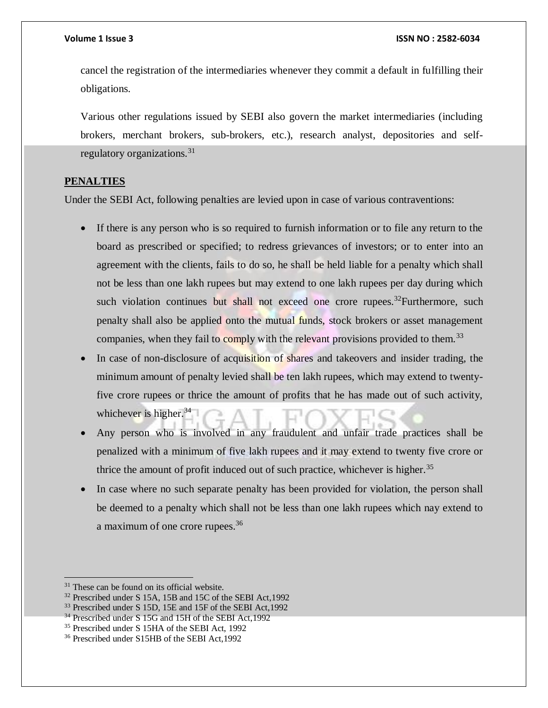cancel the registration of the intermediaries whenever they commit a default in fulfilling their obligations.

Various other regulations issued by SEBI also govern the market intermediaries (including brokers, merchant brokers, sub-brokers, etc.), research analyst, depositories and selfregulatory organizations.<sup>31</sup>

#### **PENALTIES**

Under the SEBI Act, following penalties are levied upon in case of various contraventions:

- If there is any person who is so required to furnish information or to file any return to the board as prescribed or specified; to redress grievances of investors; or to enter into an agreement with the clients, fails to do so, he shall be held liable for a penalty which shall not be less than one lakh rupees but may extend to one lakh rupees per day during which such violation continues but shall not exceed one crore rupees.<sup>32</sup>Furthermore, such penalty shall also be applied onto the mutual funds, stock brokers or asset management companies, when they fail to comply with the relevant provisions provided to them.<sup>33</sup>
- In case of non-disclosure of acquisition of shares and takeovers and insider trading, the minimum amount of penalty levied shall be ten lakh rupees, which may extend to twentyfive crore rupees or thrice the amount of profits that he has made out of such activity, whichever is higher.  $34$
- Any person who is involved in any fraudulent and unfair trade practices shall be penalized with a minimum of five lakh rupees and it may extend to twenty five crore or thrice the amount of profit induced out of such practice, whichever is higher.<sup>35</sup>
- In case where no such separate penalty has been provided for violation, the person shall be deemed to a penalty which shall not be less than one lakh rupees which nay extend to a maximum of one crore rupees.<sup>36</sup>

 $\overline{a}$ 

<sup>&</sup>lt;sup>31</sup> These can be found on its official website.

<sup>32</sup> Prescribed under S 15A, 15B and 15C of the SEBI Act,1992

<sup>&</sup>lt;sup>33</sup> Prescribed under S 15D, 15E and 15F of the SEBI Act, 1992

<sup>&</sup>lt;sup>34</sup> Prescribed under S 15G and 15H of the SEBI Act, 1992

<sup>35</sup> Prescribed under S 15HA of the SEBI Act, 1992

<sup>36</sup> Prescribed under S15HB of the SEBI Act,1992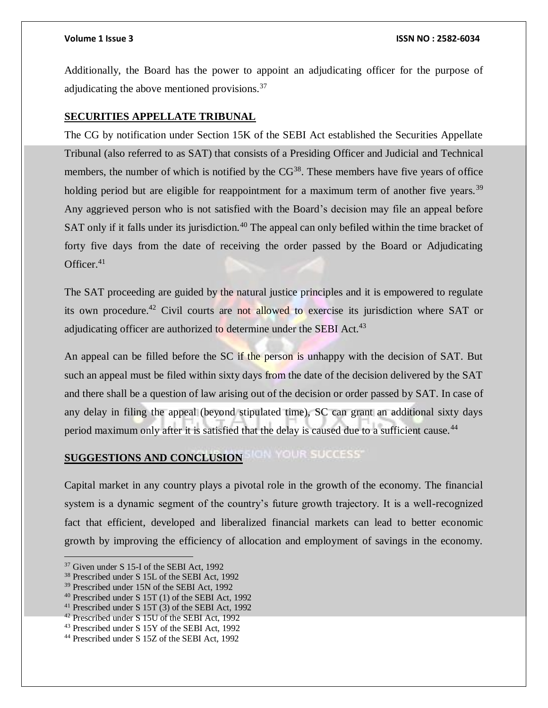Additionally, the Board has the power to appoint an adjudicating officer for the purpose of adjudicating the above mentioned provisions.<sup>37</sup>

#### **SECURITIES APPELLATE TRIBUNAL**

The CG by notification under Section 15K of the SEBI Act established the Securities Appellate Tribunal (also referred to as SAT) that consists of a Presiding Officer and Judicial and Technical members, the number of which is notified by the  $CG^{38}$ . These members have five years of office holding period but are eligible for reappointment for a maximum term of another five years.<sup>39</sup> Any aggrieved person who is not satisfied with the Board's decision may file an appeal before SAT only if it falls under its jurisdiction.<sup>40</sup> The appeal can only befiled within the time bracket of forty five days from the date of receiving the order passed by the Board or Adjudicating Officer. $41$ 

The SAT proceeding are guided by the natural justice principles and it is empowered to regulate its own procedure.<sup>42</sup> Civil courts are not allowed to exercise its jurisdiction where SAT or adjudicating officer are authorized to determine under the SEBI Act.<sup>43</sup>

An appeal can be filled before the SC if the person is unhappy with the decision of SAT. But such an appeal must be filed within sixty days from the date of the decision delivered by the SAT and there shall be a question of law arising out of the decision or order passed by SAT. In case of any delay in filing the appeal (beyond stipulated time), SC can grant an additional sixty days period maximum only after it is satisfied that the delay is caused due to a sufficient cause.<sup>44</sup>

# **SUGGESTIONS AND CONCLUSION SIGN YOUR SUCCESS**

Capital market in any country plays a pivotal role in the growth of the economy. The financial system is a dynamic segment of the country's future growth trajectory. It is a well-recognized fact that efficient, developed and liberalized financial markets can lead to better economic growth by improving the efficiency of allocation and employment of savings in the economy.

<sup>&</sup>lt;sup>37</sup> Given under S 15-I of the SEBI Act, 1992

<sup>38</sup> Prescribed under S 15L of the SEBI Act, 1992

<sup>39</sup> Prescribed under 15N of the SEBI Act, 1992

<sup>40</sup> Prescribed under S 15T (1) of the SEBI Act, 1992

<sup>41</sup> Prescribed under S 15T (3) of the SEBI Act, 1992

<sup>42</sup> Prescribed under S 15U of the SEBI Act, 1992

<sup>43</sup> Prescribed under S 15Y of the SEBI Act, 1992

<sup>44</sup> Prescribed under S 15Z of the SEBI Act, 1992